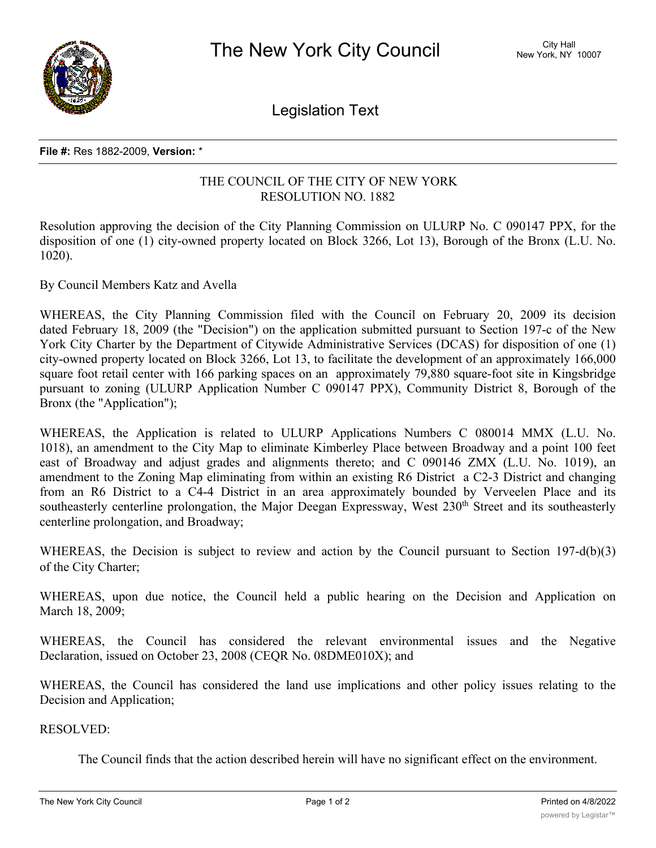

Legislation Text

## **File #:** Res 1882-2009, **Version:** \*

## THE COUNCIL OF THE CITY OF NEW YORK RESOLUTION NO. 1882

Resolution approving the decision of the City Planning Commission on ULURP No. C 090147 PPX, for the disposition of one (1) city-owned property located on Block 3266, Lot 13), Borough of the Bronx (L.U. No. 1020).

By Council Members Katz and Avella

WHEREAS, the City Planning Commission filed with the Council on February 20, 2009 its decision dated February 18, 2009 (the "Decision") on the application submitted pursuant to Section 197-c of the New York City Charter by the Department of Citywide Administrative Services (DCAS) for disposition of one (1) city-owned property located on Block 3266, Lot 13, to facilitate the development of an approximately 166,000 square foot retail center with 166 parking spaces on an approximately 79,880 square-foot site in Kingsbridge pursuant to zoning (ULURP Application Number C 090147 PPX), Community District 8, Borough of the Bronx (the "Application");

WHEREAS, the Application is related to ULURP Applications Numbers C 080014 MMX (L.U. No. 1018), an amendment to the City Map to eliminate Kimberley Place between Broadway and a point 100 feet east of Broadway and adjust grades and alignments thereto; and C 090146 ZMX (L.U. No. 1019), an amendment to the Zoning Map eliminating from within an existing R6 District a C2-3 District and changing from an R6 District to a C4-4 District in an area approximately bounded by Verveelen Place and its southeasterly centerline prolongation, the Major Deegan Expressway, West 230<sup>th</sup> Street and its southeasterly centerline prolongation, and Broadway;

WHEREAS, the Decision is subject to review and action by the Council pursuant to Section 197-d(b)(3) of the City Charter;

WHEREAS, upon due notice, the Council held a public hearing on the Decision and Application on March 18, 2009;

WHEREAS, the Council has considered the relevant environmental issues and the Negative Declaration, issued on October 23, 2008 (CEQR No. 08DME010X); and

WHEREAS, the Council has considered the land use implications and other policy issues relating to the Decision and Application;

RESOLVED:

The Council finds that the action described herein will have no significant effect on the environment.